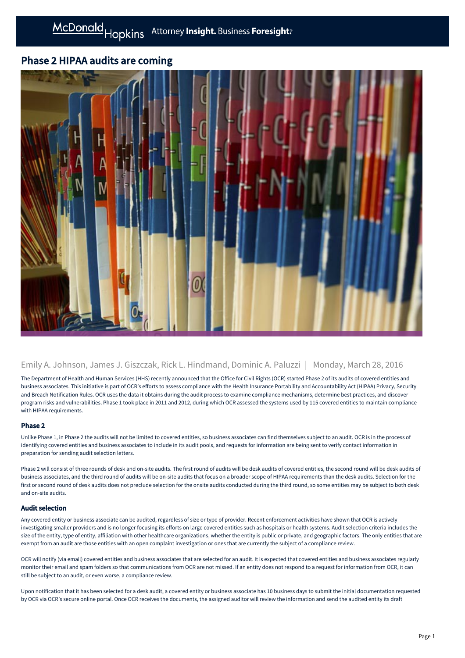# Phase 2 HIPAA audits are coming



## Emily A. Johnson, James J. Giszczak, Rick L. Hindmand, Dominic A. Paluzzi | Monday, March 28, 2016

The Department of Health and Human Services (HHS) recently announced that the Office for Civil Rights (OCR) started Phase 2 of its audits of covered entities and business associates. This initiative is part of OCR's efforts to assess compliance with the Health Insurance Portability and Accountability Act (HIPAA) Privacy, Security and Breach Notification Rules. OCR uses the data it obtains during the audit process to examine compliance mechanisms, determine best practices, and discover program risks and vulnerabilities. Phase 1 took place in 2011 and 2012, during which OCR assessed the systems used by 115 covered entities to maintain compliance with HIPAA requirements.

## Phase 2

Unlike Phase 1, in Phase 2 the audits will not be limited to covered entities, so business associates can find themselves subject to an audit. OCR is in the process of identifying covered entities and business associates to include in its audit pools, and requests for information are being sent to verify contact information in preparation for sending audit selection letters.

Phase 2 will consist of three rounds of desk and on-site audits. The first round of audits will be desk audits of covered entities, the second round will be desk audits of business associates, and the third round of audits will be on-site audits that focus on a broader scope of HIPAA requirements than the desk audits. Selection for the first or second round of desk audits does not preclude selection for the onsite audits conducted during the third round, so some entities may be subject to both desk and on-site audits.

### Audit selection

Any covered entity or business associate can be audited, regardless of size or type of provider. Recent enforcement activities have shown that OCR is actively investigating smaller providers and is no longer focusing its efforts on large covered entities such as hospitals or health systems. Audit selection criteria includes the size of the entity, type of entity, affiliation with other healthcare organizations, whether the entity is public or private, and geographic factors. The only entities that are exempt from an audit are those entities with an open complaint investigation or ones that are currently the subject of a compliance review.

OCR will notify (via email) covered entities and business associates that are selected for an audit. It is expected that covered entities and business associates regularly monitor their email and spam folders so that communications from OCR are not missed. If an entity does not respond to a request for information from OCR, it can still be subject to an audit, or even worse, a compliance review.

Upon notification that it has been selected for a desk audit, a covered entity or business associate has 10 business days to submit the initial documentation requested by OCR via OCR's secure online portal. Once OCR receives the documents, the assigned auditor will review the information and send the audited entity its draft